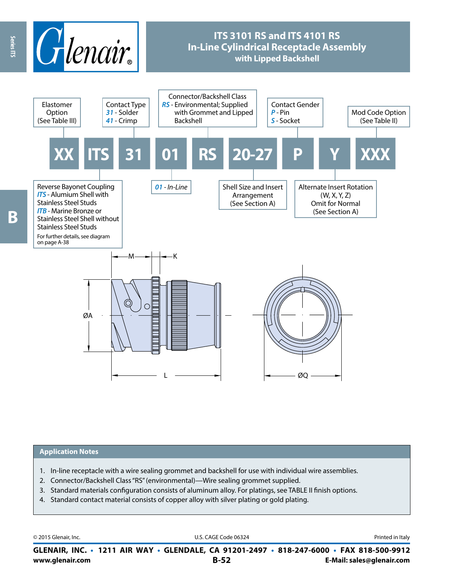

#### **Application Notes**

- 1. In-line receptacle with a wire sealing grommet and backshell for use with individual wire assemblies.
- 2. Connector/Backshell Class "RS" (environmental)—Wire sealing grommet supplied.
- 3. Standard materials configuration consists of aluminum alloy. For platings, see TABLE II finish options.
- 4. Standard contact material consists of copper alloy with silver plating or gold plating.

© 2015 Glenair, Inc. **Discription Construction Construction Construction Construction Construction Construction Construction Construction Construction Construction Construction Construction Construction Construction Constr** 

**www.glenair.com B-52 E-Mail: sales@glenair.com GLENAIR, INC. • 1211 AIR WAY • GLENDALE, CA 91201-2497 • 818-247-6000 • FAX 818-500-9912**